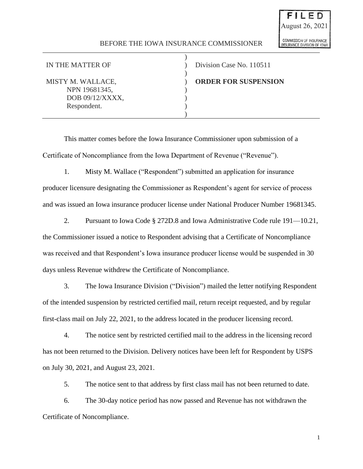## BEFORE THE IOWA INSURANCE COMMISSIONER

)

)

)

NPN 19681345, ) DOB 09/12/XXXX, Respondent.

IN THE MATTER OF  $\qquad \qquad$  ) Division Case No. 110511 MISTY M. WALLACE,  $\qquad \qquad$  **ORDER FOR SUSPENSION** 

This matter comes before the Iowa Insurance Commissioner upon submission of a Certificate of Noncompliance from the Iowa Department of Revenue ("Revenue").

1. Misty M. Wallace ("Respondent") submitted an application for insurance

producer licensure designating the Commissioner as Respondent's agent for service of process and was issued an Iowa insurance producer license under National Producer Number 19681345.

2. Pursuant to Iowa Code § 272D.8 and Iowa Administrative Code rule 191—10.21, the Commissioner issued a notice to Respondent advising that a Certificate of Noncompliance was received and that Respondent's Iowa insurance producer license would be suspended in 30 days unless Revenue withdrew the Certificate of Noncompliance.

3. The Iowa Insurance Division ("Division") mailed the letter notifying Respondent of the intended suspension by restricted certified mail, return receipt requested, and by regular first-class mail on July 22, 2021, to the address located in the producer licensing record.

4. The notice sent by restricted certified mail to the address in the licensing record has not been returned to the Division. Delivery notices have been left for Respondent by USPS on July 30, 2021, and August 23, 2021.

5. The notice sent to that address by first class mail has not been returned to date.

6. The 30-day notice period has now passed and Revenue has not withdrawn the Certificate of Noncompliance.

1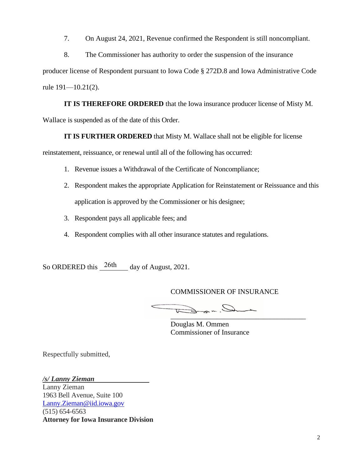7. On August 24, 2021, Revenue confirmed the Respondent is still noncompliant.

8. The Commissioner has authority to order the suspension of the insurance

producer license of Respondent pursuant to Iowa Code § 272D.8 and Iowa Administrative Code rule 191—10.21(2).

**IT IS THEREFORE ORDERED** that the Iowa insurance producer license of Misty M. Wallace is suspended as of the date of this Order.

**IT IS FURTHER ORDERED** that Misty M. Wallace shall not be eligible for license

reinstatement, reissuance, or renewal until all of the following has occurred:

- 1. Revenue issues a Withdrawal of the Certificate of Noncompliance;
- 2. Respondent makes the appropriate Application for Reinstatement or Reissuance and this application is approved by the Commissioner or his designee;
- 3. Respondent pays all applicable fees; and
- 4. Respondent complies with all other insurance statutes and regulations.

So ORDERED this  $\frac{26\text{th}}{6}$  day of August, 2021.

COMMISSIONER OF INSURANCE

\_\_\_\_\_\_\_\_\_\_\_\_\_\_\_\_\_\_\_\_\_\_\_\_\_\_\_\_\_\_\_\_\_\_\_\_\_\_

Douglas M. Ommen Commissioner of Insurance

Respectfully submitted,

*/s/ Lanny Zieman* 

Lanny Zieman 1963 Bell Avenue, Suite 100 Lanny.Zieman@iid.iowa.gov (515) 654-6563 **Attorney for Iowa Insurance Division**